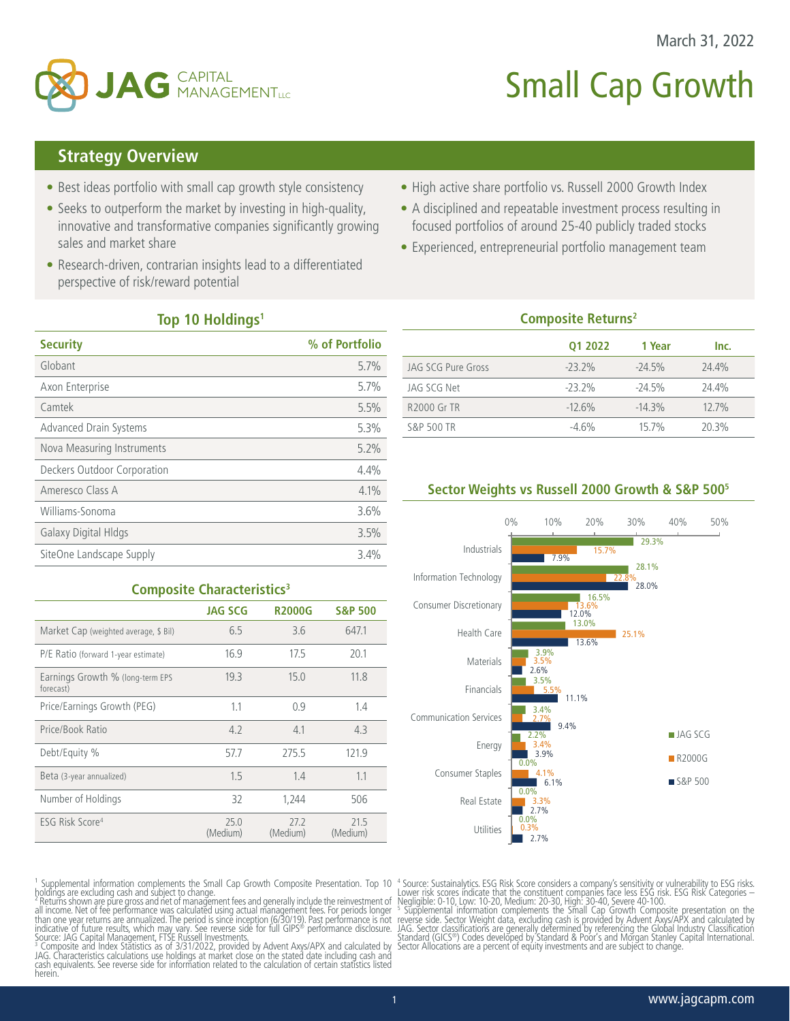



# **Small Cap Growth**

## **Strategy Overview**

- Best ideas portfolio with small cap growth style consistency
- Seeks to outperform the market by investing in high-quality, innovative and transformative companies significantly growing sales and market share
- Research-driven, contrarian insights lead to a differentiated perspective of risk/reward potential
- High active share portfolio vs. Russell 2000 Growth Index
- A disciplined and repeatable investment process resulting in focused portfolios of around 25-40 publicly traded stocks
- Experienced, entrepreneurial portfolio management team

#### **Top 10 Holdings1**

| <b>Security</b>             | % of Portfolio |
|-----------------------------|----------------|
| Globant                     | 5.7%           |
| Axon Enterprise             | 5.7%           |
| Camtek                      | 5.5%           |
| Advanced Drain Systems      | 5.3%           |
| Nova Measuring Instruments  | 5.2%           |
| Deckers Outdoor Corporation | 4.4%           |
| Ameresco Class A            | 4.1%           |
| Williams-Sonoma             | 3.6%           |
| Galaxy Digital Hldgs        | 3.5%           |
| SiteOne Landscape Supply    | 3.4%           |

| <b>Composite Returns<sup>2</sup></b> |           |           |       |  |  |  |
|--------------------------------------|-----------|-----------|-------|--|--|--|
|                                      | 01 2022   | 1 Year    | Inc.  |  |  |  |
| JAG SCG Pure Gross                   | $-23.2\%$ | $-24.5%$  | 24.4% |  |  |  |
| JAG SCG Net                          | $-23.2%$  | $-24.5%$  | 24.4% |  |  |  |
| <b>R2000 Gr TR</b>                   | $-12.6%$  | $-14.3\%$ | 12.7% |  |  |  |
| S&P 500 TR                           | $-4.6%$   | 15.7%     | 20.3% |  |  |  |
|                                      |           |           |       |  |  |  |

### **Sector Weights vs Russell 2000 Growth & S&P 5005**



#### **Composite Characteristics<sup>3</sup>**

|                                               | <b>JAG SCG</b>   | <b>R2000G</b>    | <b>S&amp;P 500</b> |
|-----------------------------------------------|------------------|------------------|--------------------|
| Market Cap (weighted average, \$ Bil)         | 6.5              | 3.6              | 647.1              |
| P/E Ratio (forward 1-year estimate)           | 16.9             | 17.5             | 20.1               |
| Earnings Growth % (long-term EPS<br>forecast) | 19.3             | 15.0             | 11.8               |
| Price/Earnings Growth (PEG)                   | 1.1              | 0.9              | 1.4                |
| Price/Book Ratio                              | 4.2              | 4.1              | 4.3                |
| Debt/Equity %                                 | 57.7             | 275.5            | 121.9              |
| Beta (3-year annualized)                      | 1.5              | 1.4              | 1.1                |
| Number of Holdings                            | 32               | 1.244            | 506                |
| ESG Risk Score <sup>4</sup>                   | 25.0<br>(Medium) | 27.2<br>(Medium) | 21.5<br>(Medium)   |

<sup>1</sup> Supplemental information complements the Small Cap Growth Composite Presentation. Top 10<br>holdings are excluding cash and subject to change.<br><sup>2</sup> Returns shown are pure gross and net of management fees and generally inc

JAG. Characteristics calculations use holdings at market close on the stated date including cash and cash equivalents. See reverse side for information related to the calculation of certain statistics listed herein.

<sup>4</sup> Source: Sustainalytics. ESG Risk Score considers a company's sensitivity or vulnerability to ESG risks. Lower risk scores indicate that the constituent companies face less ESG Risk. Categories – Lower in Negligible: 0-